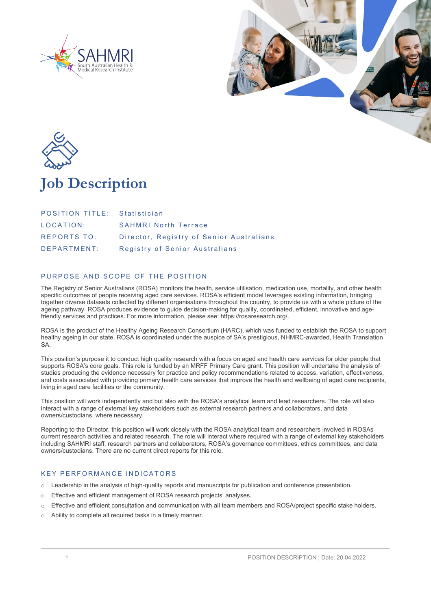





# **Job Description**

| <b>POSITION TITLE:</b> Statistician |                                          |
|-------------------------------------|------------------------------------------|
| LOCATION:                           | <b>SAHMRI North Terrace</b>              |
| <b>REPORTS TO:</b>                  | Director, Registry of Senior Australians |
| DEPARTMENT:                         | Registry of Senior Australians           |

# PURPOSE AND SCOPE OF THE POSITION

The Registry of Senior Australians (ROSA) monitors the health, service utilisation, medication use, mortality, and other health specific outcomes of people receiving aged care services. ROSA's efficient model leverages existing information, bringing together diverse datasets collected by different organisations throughout the country, to provide us with a whole picture of the ageing pathway. ROSA produces evidence to guide decision-making for quality, coordinated, efficient, innovative and agefriendly services and practices. For more information, please see: https://rosaresearch.org/.

ROSA is the product of the Healthy Ageing Research Consortium (HARC), which was funded to establish the ROSA to support healthy ageing in our state. ROSA is coordinated under the auspice of SA's prestigious, NHMRC-awarded, Health Translation SA.

This position's purpose it to conduct high quality research with a focus on aged and health care services for older people that supports ROSA's core goals. This role is funded by an MRFF Primary Care grant. This position will undertake the analysis of studies producing the evidence necessary for practice and policy recommendations related to access, variation, effectiveness, and costs associated with providing primary health care services that improve the health and wellbeing of aged care recipients, living in aged care facilities or the community.

This position will work independently and but also with the ROSA's analytical team and lead researchers. The role will also interact with a range of external key stakeholders such as external research partners and collaborators, and data owners/custodians, where necessary.

Reporting to the Director, this position will work closely with the ROSA analytical team and researchers involved in ROSAs current research activities and related research. The role will interact where required with a range of external key stakeholders including SAHMRI staff, research partners and collaborators, ROSA's governance committees, ethics committees, and data owners/custodians. There are no current direct reports for this role.

## KEY PERFORMANCE INDICATORS

- o Leadership in the analysis of high-quality reports and manuscripts for publication and conference presentation.
- o Effective and efficient management of ROSA research projects' analyses.
- $\circ$  Effective and efficient consultation and communication with all team members and ROSA/project specific stake holders.
- Ability to complete all required tasks in a timely manner.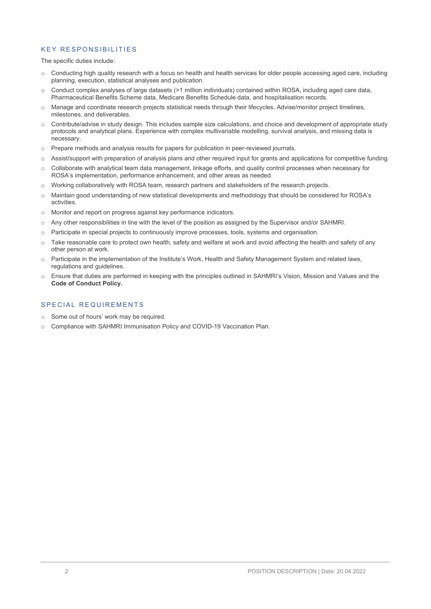## KEY RESPONSIBILITIES

#### The specific duties include:

- o Conducting high quality research with a focus on health and health services for older people accessing aged care, including planning, execution, statistical analyses and publication.
- $\circ$  Conduct complex analyses of large datasets (>1 million individuals) contained within ROSA, including aged care data, Pharmaceutical Benefits Scheme data, Medicare Benefits Schedule data, and hospitalisation records.
- o Manage and coordinate research projects statistical needs through their lifecycles. Advise/monitor project timelines, milestones, and deliverables.
- $\circ$  Contribute/advise in study design. This includes sample size calculations, and choice and development of appropriate study protocols and analytical plans. Experience with complex multivariable modelling, survival analysis, and missing data is necessary.
- o Prepare methods and analysis results for papers for publication in peer-reviewed journals.
- o Assist/support with preparation of analysis plans and other required input for grants and applications for competitive funding.
- Collaborate with analytical team data management, linkage efforts, and quality control processes when necessary for ROSA's implementation, performance enhancement, and other areas as needed.
- o Working collaboratively with ROSA team, research partners and stakeholders of the research projects.
- o Maintain good understanding of new statistical developments and methodology that should be considered for ROSA's activities.
- o Monitor and report on progress against key performance indicators.
- o Any other responsibilities in line with the level of the position as assigned by the Supervisor and/or SAHMRI.
- o Participate in special projects to continuously improve processes, tools, systems and organisation.
- o Take reasonable care to protect own health, safety and welfare at work and avoid affecting the health and safety of any other person at work.
- o Participate in the implementation of the Institute's Work, Health and Safety Management System and related laws, regulations and guidelines.
- o Ensure that duties are performed in keeping with the principles outlined in SAHMRI's Vision, Mission and Values and the **Code of Conduct Policy.**

# SPECIAL REQUIREMENTS

- o Some out of hours' work may be required.
- o Compliance with SAHMRI Immunisation Policy and COVID-19 Vaccination Plan.